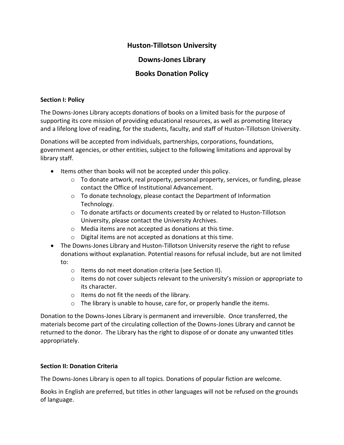## **Huston-Tillotson University**

# **Downs-Jones Library**

# **Books Donation Policy**

#### **Section I: Policy**

The Downs-Jones Library accepts donations of books on a limited basis for the purpose of supporting its core mission of providing educational resources, as well as promoting literacy and a lifelong love of reading, for the students, faculty, and staff of Huston-Tillotson University.

Donations will be accepted from individuals, partnerships, corporations, foundations, government agencies, or other entities, subject to the following limitations and approval by library staff.

- Items other than books will not be accepted under this policy.
	- $\circ$  To donate artwork, real property, personal property, services, or funding, please contact the Office of Institutional Advancement.
	- o To donate technology, please contact the Department of Information Technology.
	- $\circ$  To donate artifacts or documents created by or related to Huston-Tillotson University, please contact the University Archives.
	- o Media items are not accepted as donations at this time.
	- o Digital items are not accepted as donations at this time.
- The Downs-Jones Library and Huston-Tillotson University reserve the right to refuse donations without explanation. Potential reasons for refusal include, but are not limited to:
	- o Items do not meet donation criteria (see Section II).
	- $\circ$  Items do not cover subjects relevant to the university's mission or appropriate to its character.
	- o Items do not fit the needs of the library.
	- o The library is unable to house, care for, or properly handle the items.

Donation to the Downs-Jones Library is permanent and irreversible. Once transferred, the materials become part of the circulating collection of the Downs-Jones Library and cannot be returned to the donor. The Library has the right to dispose of or donate any unwanted titles appropriately.

### **Section II: Donation Criteria**

The Downs-Jones Library is open to all topics. Donations of popular fiction are welcome.

Books in English are preferred, but titles in other languages will not be refused on the grounds of language.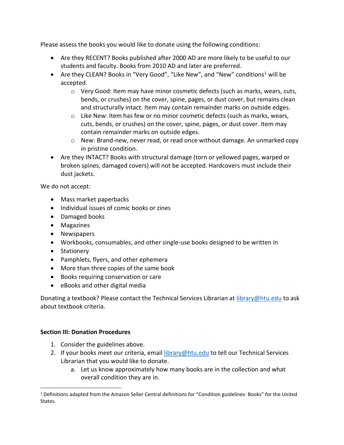Please assess the books you would like to donate using the following conditions:

- Are they RECENT? Books published after 2000 AD are more likely to be useful to our students and faculty. Books from 2010 AD and later are preferred.
- Are they CLEAN? Books in "Very Good", "Like New", and "New" conditions<sup>1</sup> will be accepted.
	- o Very Good: Item may have minor cosmetic defects (such as marks, wears, cuts, bends, or crushes) on the cover, spine, pages, or dust cover, but remains clean and structurally intact. Item may contain remainder marks on outside edges.
	- $\circ$  Like New: Item has few or no minor cosmetic defects (such as marks, wears, cuts, bends, or crushes) on the cover, spine, pages, or dust cover. Item may contain remainder marks on outside edges.
	- $\circ$  New: Brand-new, never read, or read once without damage. An unmarked copy in pristine condition.
- Are they INTACT? Books with structural damage (torn or yellowed pages, warped or broken spines, damaged covers) will not be accepted. Hardcovers must include their dust jackets.

We do not accept:

- Mass market paperbacks
- Individual issues of comic books or zines
- Damaged books
- Magazines
- Newspapers
- Workbooks, consumables, and other single-use books designed to be written in
- Stationery
- Pamphlets, flyers, and other ephemera
- More than three copies of the same book
- Books requiring conservation or care
- eBooks and other digital media

Donating a textbook? Please contact the Technical Services Librarian at [library@htu.edu](mailto:library@htu.edu) to ask about textbook criteria.

### **Section III: Donation Procedures**

- 1. Consider the guidelines above.
- 2. If your books meet our criteria, email [library@htu.edu](mailto:library@htu.edu) to tell our Technical Services Librarian that you would like to donate.
	- a. Let us know approximately how many books are in the collection and what overall condition they are in.

<sup>&</sup>lt;sup>1</sup> Definitions adapted from the Amazon Seller Central definitions for "Condition guidelines: Books" for the United States.